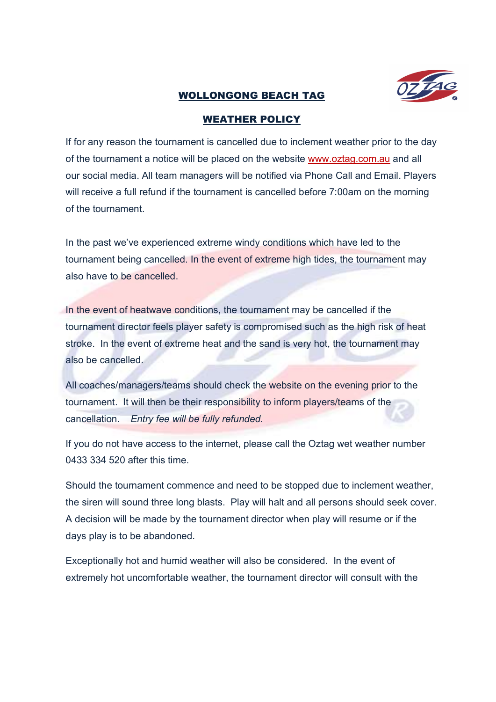

## WOLLONGONG BEACH TAG

## WEATHER POLICY

If for any reason the tournament is cancelled due to inclement weather prior to the day of the tournament a notice will be placed on the website www.oztag.com.au and all our social media. All team managers will be notified via Phone Call and Email. Players will receive a full refund if the tournament is cancelled before 7:00am on the morning of the tournament.

In the past we've experienced extreme windy conditions which have led to the tournament being cancelled. In the event of extreme high tides, the tournament may also have to be cancelled.

In the event of heatwave conditions, the tournament may be cancelled if the tournament director feels player safety is compromised such as the high risk of heat stroke. In the event of extreme heat and the sand is very hot, the tournament may also be cancelled.

All coaches/managers/teams should check the website on the evening prior to the tournament. It will then be their responsibility to inform players/teams of the cancellation. Entry fee will be fully refunded.

If you do not have access to the internet, please call the Oztag wet weather number 0433 334 520 after this time.

Should the tournament commence and need to be stopped due to inclement weather, the siren will sound three long blasts. Play will halt and all persons should seek cover. A decision will be made by the tournament director when play will resume or if the days play is to be abandoned.

Exceptionally hot and humid weather will also be considered. In the event of extremely hot uncomfortable weather, the tournament director will consult with the